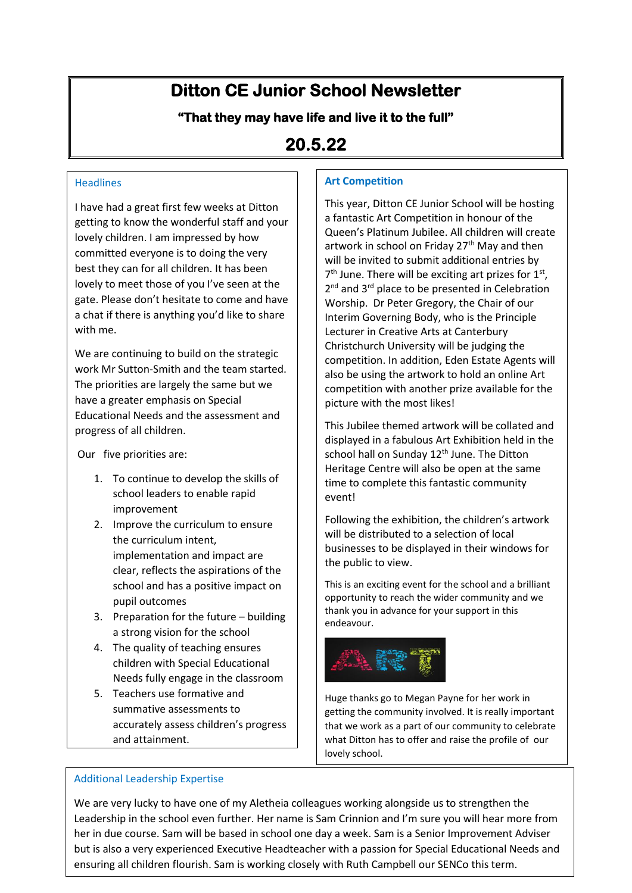# **Ditton CE Junior School Newsletter**

## **"That they may have life and live it to the full"**

**20.5.22** 

#### Headlines

I have had a great first few weeks at Ditton getting to know the wonderful staff and your lovely children. I am impressed by how committed everyone is to doing the very best they can for all children. It has been lovely to meet those of you I've seen at the gate. Please don't hesitate to come and have a chat if there is anything you'd like to share with me.

We are continuing to build on the strategic work Mr Sutton-Smith and the team started. The priorities are largely the same but we have a greater emphasis on Special Educational Needs and the assessment and progress of all children.

Our five priorities are:

- 1. To continue to develop the skills of school leaders to enable rapid improvement
- 2. Improve the curriculum to ensure the curriculum intent, implementation and impact are clear, reflects the aspirations of the school and has a positive impact on pupil outcomes
- 3. Preparation for the future building a strong vision for the school
- 4. The quality of teaching ensures children with Special Educational Needs fully engage in the classroom
- 5. Teachers use formative and summative assessments to accurately assess children's progress and attainment.

### **Art Competition**

This year, Ditton CE Junior School will be hosting a fantastic Art Competition in honour of the Queen's Platinum Jubilee. All children will create artwork in school on Friday 27<sup>th</sup> May and then will be invited to submit additional entries by  $7<sup>th</sup>$  June. There will be exciting art prizes for  $1<sup>st</sup>$ , 2<sup>nd</sup> and 3<sup>rd</sup> place to be presented in Celebration Worship. Dr Peter Gregory, the Chair of our Interim Governing Body, who is the Principle Lecturer in Creative Arts at Canterbury Christchurch University will be judging the competition. In addition, Eden Estate Agents will also be using the artwork to hold an online Art competition with another prize available for the picture with the most likes!

This Jubilee themed artwork will be collated and displayed in a fabulous Art Exhibition held in the school hall on Sunday 12<sup>th</sup> June. The Ditton Heritage Centre will also be open at the same time to complete this fantastic community event!

Following the exhibition, the children's artwork will be distributed to a selection of local businesses to be displayed in their windows for the public to view.

This is an exciting event for the school and a brilliant opportunity to reach the wider community and we thank you in advance for your support in this endeavour.



Huge thanks go to Megan Payne for her work in getting the community involved. It is really important that we work as a part of our community to celebrate what Ditton has to offer and raise the profile of our lovely school.

#### Additional Leadership Expertise

We are very lucky to have one of my Aletheia colleagues working alongside us to strengthen the Leadership in the school even further. Her name is Sam Crinnion and I'm sure you will hear more from her in due course. Sam will be based in school one day a week. Sam is a Senior Improvement Adviser but is also a very experienced Executive Headteacher with a passion for Special Educational Needs and ensuring all children flourish. Sam is working closely with Ruth Campbell our SENCo this term.